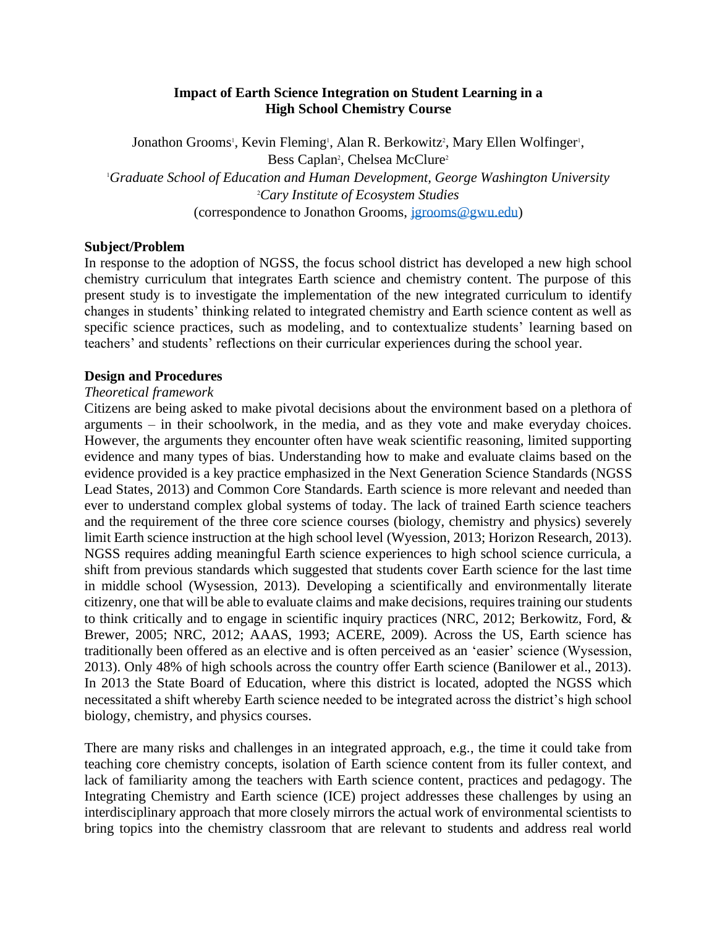# **Impact of Earth Science Integration on Student Learning in a High School Chemistry Course**

Jonathon Grooms<sup>1</sup>, Kevin Fleming<sup>1</sup>, Alan R. Berkowitz<sup>2</sup>, Mary Ellen Wolfinger<sup>1</sup>, Bess Caplan<sup>2</sup>, Chelsea McClure<sup>2</sup> <sup>1</sup>*Graduate School of Education and Human Development, George Washington University*  <sup>2</sup>*Cary Institute of Ecosystem Studies*  (correspondence to Jonathon Grooms, [jgrooms@gwu.edu\)](mailto:jgrooms@gwu.edu)

### **Subject/Problem**

In response to the adoption of NGSS, the focus school district has developed a new high school chemistry curriculum that integrates Earth science and chemistry content. The purpose of this present study is to investigate the implementation of the new integrated curriculum to identify changes in students' thinking related to integrated chemistry and Earth science content as well as specific science practices, such as modeling, and to contextualize students' learning based on teachers' and students' reflections on their curricular experiences during the school year.

#### **Design and Procedures**

#### *Theoretical framework*

Citizens are being asked to make pivotal decisions about the environment based on a plethora of arguments – in their schoolwork, in the media, and as they vote and make everyday choices. However, the arguments they encounter often have weak scientific reasoning, limited supporting evidence and many types of bias. Understanding how to make and evaluate claims based on the evidence provided is a key practice emphasized in the Next Generation Science Standards (NGSS Lead States, 2013) and Common Core Standards. Earth science is more relevant and needed than ever to understand complex global systems of today. The lack of trained Earth science teachers and the requirement of the three core science courses (biology, chemistry and physics) severely limit Earth science instruction at the high school level (Wyession, 2013; Horizon Research, 2013). NGSS requires adding meaningful Earth science experiences to high school science curricula, a shift from previous standards which suggested that students cover Earth science for the last time in middle school (Wysession, 2013). Developing a scientifically and environmentally literate citizenry, one that will be able to evaluate claims and make decisions, requires training our students to think critically and to engage in scientific inquiry practices (NRC, 2012; Berkowitz, Ford, & Brewer, 2005; NRC, 2012; AAAS, 1993; ACERE, 2009). Across the US, Earth science has traditionally been offered as an elective and is often perceived as an 'easier' science (Wysession, 2013). Only 48% of high schools across the country offer Earth science (Banilower et al., 2013). In 2013 the State Board of Education, where this district is located, adopted the NGSS which necessitated a shift whereby Earth science needed to be integrated across the district's high school biology, chemistry, and physics courses.

There are many risks and challenges in an integrated approach, e.g., the time it could take from teaching core chemistry concepts, isolation of Earth science content from its fuller context, and lack of familiarity among the teachers with Earth science content, practices and pedagogy. The Integrating Chemistry and Earth science (ICE) project addresses these challenges by using an interdisciplinary approach that more closely mirrors the actual work of environmental scientists to bring topics into the chemistry classroom that are relevant to students and address real world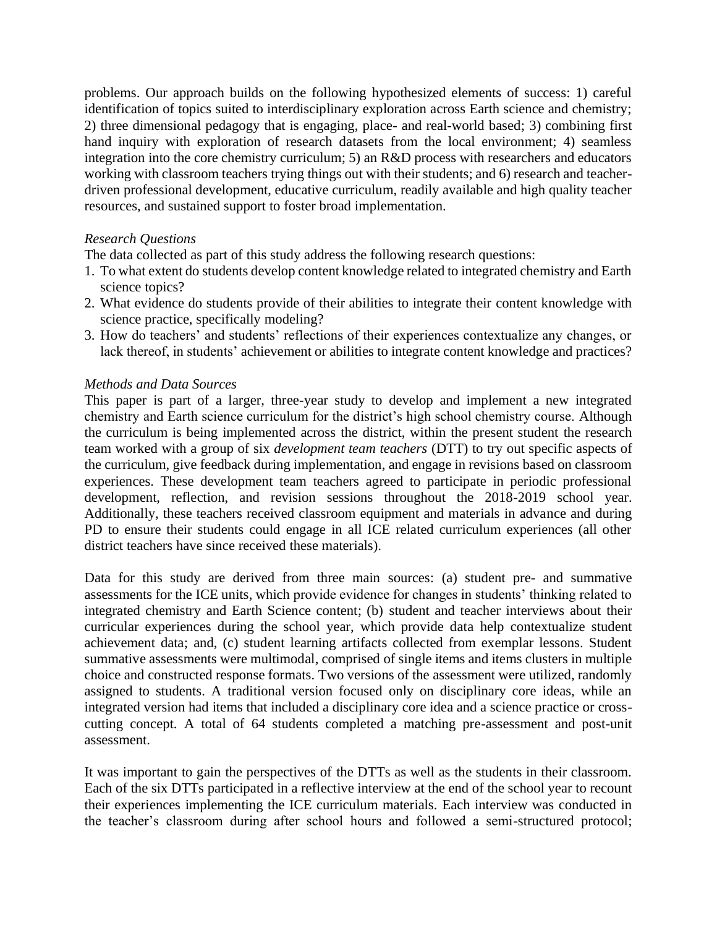problems. Our approach builds on the following hypothesized elements of success: 1) careful identification of topics suited to interdisciplinary exploration across Earth science and chemistry; 2) three dimensional pedagogy that is engaging, place- and real-world based; 3) combining first hand inquiry with exploration of research datasets from the local environment; 4) seamless integration into the core chemistry curriculum; 5) an R&D process with researchers and educators working with classroom teachers trying things out with their students; and 6) research and teacherdriven professional development, educative curriculum, readily available and high quality teacher resources, and sustained support to foster broad implementation.

# *Research Questions*

The data collected as part of this study address the following research questions:

- 1. To what extent do students develop content knowledge related to integrated chemistry and Earth science topics?
- 2. What evidence do students provide of their abilities to integrate their content knowledge with science practice, specifically modeling?
- 3. How do teachers' and students' reflections of their experiences contextualize any changes, or lack thereof, in students' achievement or abilities to integrate content knowledge and practices?

### *Methods and Data Sources*

This paper is part of a larger, three-year study to develop and implement a new integrated chemistry and Earth science curriculum for the district's high school chemistry course. Although the curriculum is being implemented across the district, within the present student the research team worked with a group of six *development team teachers* (DTT) to try out specific aspects of the curriculum, give feedback during implementation, and engage in revisions based on classroom experiences. These development team teachers agreed to participate in periodic professional development, reflection, and revision sessions throughout the 2018-2019 school year. Additionally, these teachers received classroom equipment and materials in advance and during PD to ensure their students could engage in all ICE related curriculum experiences (all other district teachers have since received these materials).

Data for this study are derived from three main sources: (a) student pre- and summative assessments for the ICE units, which provide evidence for changes in students' thinking related to integrated chemistry and Earth Science content; (b) student and teacher interviews about their curricular experiences during the school year, which provide data help contextualize student achievement data; and, (c) student learning artifacts collected from exemplar lessons. Student summative assessments were multimodal, comprised of single items and items clusters in multiple choice and constructed response formats. Two versions of the assessment were utilized, randomly assigned to students. A traditional version focused only on disciplinary core ideas, while an integrated version had items that included a disciplinary core idea and a science practice or crosscutting concept. A total of 64 students completed a matching pre-assessment and post-unit assessment.

It was important to gain the perspectives of the DTTs as well as the students in their classroom. Each of the six DTTs participated in a reflective interview at the end of the school year to recount their experiences implementing the ICE curriculum materials. Each interview was conducted in the teacher's classroom during after school hours and followed a semi-structured protocol;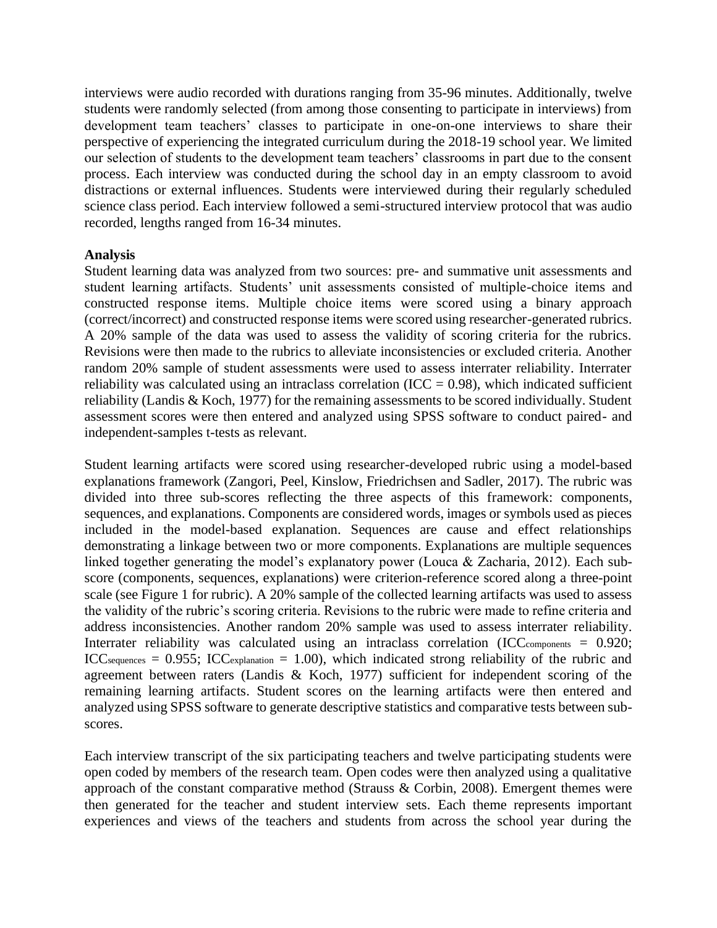interviews were audio recorded with durations ranging from 35-96 minutes. Additionally, twelve students were randomly selected (from among those consenting to participate in interviews) from development team teachers' classes to participate in one-on-one interviews to share their perspective of experiencing the integrated curriculum during the 2018-19 school year. We limited our selection of students to the development team teachers' classrooms in part due to the consent process. Each interview was conducted during the school day in an empty classroom to avoid distractions or external influences. Students were interviewed during their regularly scheduled science class period. Each interview followed a semi-structured interview protocol that was audio recorded, lengths ranged from 16-34 minutes.

### **Analysis**

Student learning data was analyzed from two sources: pre- and summative unit assessments and student learning artifacts. Students' unit assessments consisted of multiple-choice items and constructed response items. Multiple choice items were scored using a binary approach (correct/incorrect) and constructed response items were scored using researcher-generated rubrics. A 20% sample of the data was used to assess the validity of scoring criteria for the rubrics. Revisions were then made to the rubrics to alleviate inconsistencies or excluded criteria. Another random 20% sample of student assessments were used to assess interrater reliability. Interrater reliability was calculated using an intraclass correlation (ICC =  $0.98$ ), which indicated sufficient reliability (Landis & Koch, 1977) for the remaining assessments to be scored individually. Student assessment scores were then entered and analyzed using SPSS software to conduct paired- and independent-samples t-tests as relevant.

Student learning artifacts were scored using researcher-developed rubric using a model-based explanations framework (Zangori, Peel, Kinslow, Friedrichsen and Sadler, 2017). The rubric was divided into three sub-scores reflecting the three aspects of this framework: components, sequences, and explanations. Components are considered words, images or symbols used as pieces included in the model-based explanation. Sequences are cause and effect relationships demonstrating a linkage between two or more components. Explanations are multiple sequences linked together generating the model's explanatory power (Louca & Zacharia, 2012). Each subscore (components, sequences, explanations) were criterion-reference scored along a three-point scale (see Figure 1 for rubric). A 20% sample of the collected learning artifacts was used to assess the validity of the rubric's scoring criteria. Revisions to the rubric were made to refine criteria and address inconsistencies. Another random 20% sample was used to assess interrater reliability. Interrater reliability was calculated using an intraclass correlation (ICC<sub>components</sub> = 0.920; ICC<sub>sequences</sub> =  $0.955$ ; ICC<sub>explanation</sub> = 1.00), which indicated strong reliability of the rubric and agreement between raters (Landis & Koch, 1977) sufficient for independent scoring of the remaining learning artifacts. Student scores on the learning artifacts were then entered and analyzed using SPSS software to generate descriptive statistics and comparative tests between subscores.

Each interview transcript of the six participating teachers and twelve participating students were open coded by members of the research team. Open codes were then analyzed using a qualitative approach of the constant comparative method (Strauss & Corbin, 2008). Emergent themes were then generated for the teacher and student interview sets. Each theme represents important experiences and views of the teachers and students from across the school year during the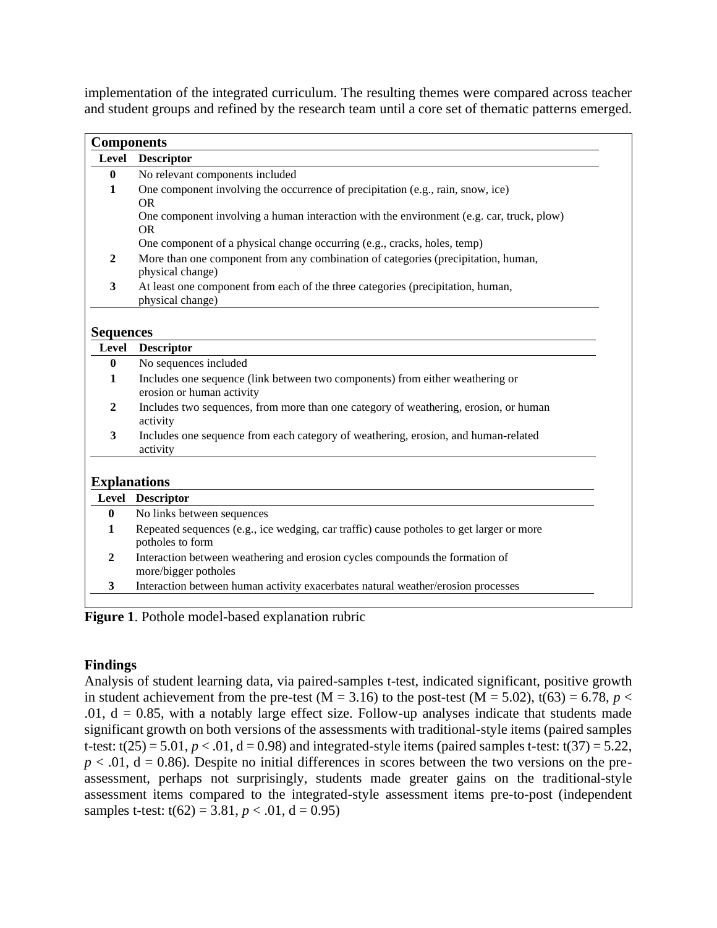implementation of the integrated curriculum. The resulting themes were compared across teacher and student groups and refined by the research team until a core set of thematic patterns emerged.

| <b>Components</b>   |                                                                                                              |  |  |  |  |
|---------------------|--------------------------------------------------------------------------------------------------------------|--|--|--|--|
| Level               | <b>Descriptor</b>                                                                                            |  |  |  |  |
| $\mathbf{0}$        | No relevant components included                                                                              |  |  |  |  |
| $\mathbf{1}$        | One component involving the occurrence of precipitation (e.g., rain, snow, ice)                              |  |  |  |  |
|                     | <b>OR</b>                                                                                                    |  |  |  |  |
|                     | One component involving a human interaction with the environment (e.g. car, truck, plow)<br><b>OR</b>        |  |  |  |  |
|                     | One component of a physical change occurring (e.g., cracks, holes, temp)                                     |  |  |  |  |
| $\mathbf{2}$        | More than one component from any combination of categories (precipitation, human,<br>physical change)        |  |  |  |  |
| 3                   | At least one component from each of the three categories (precipitation, human,<br>physical change)          |  |  |  |  |
| <b>Sequences</b>    |                                                                                                              |  |  |  |  |
| Level               | <b>Descriptor</b>                                                                                            |  |  |  |  |
| $\bf{0}$            | No sequences included                                                                                        |  |  |  |  |
| 1                   | Includes one sequence (link between two components) from either weathering or                                |  |  |  |  |
|                     | erosion or human activity                                                                                    |  |  |  |  |
| $\mathbf{2}$        | Includes two sequences, from more than one category of weathering, erosion, or human<br>activity             |  |  |  |  |
| 3                   | Includes one sequence from each category of weathering, erosion, and human-related<br>activity               |  |  |  |  |
| <b>Explanations</b> |                                                                                                              |  |  |  |  |
|                     | Level Descriptor                                                                                             |  |  |  |  |
| $\bf{0}$            | No links between sequences                                                                                   |  |  |  |  |
| 1                   | Repeated sequences (e.g., ice wedging, car traffic) cause potholes to get larger or more<br>potholes to form |  |  |  |  |
| $\boldsymbol{2}$    | Interaction between weathering and erosion cycles compounds the formation of<br>more/bigger potholes         |  |  |  |  |
|                     |                                                                                                              |  |  |  |  |

**Figure 1**. Pothole model-based explanation rubric

# **Findings**

Analysis of student learning data, via paired-samples t-test, indicated significant, positive growth in student achievement from the pre-test (M = 3.16) to the post-test (M = 5.02), t(63) = 6.78,  $p <$ .01,  $d = 0.85$ , with a notably large effect size. Follow-up analyses indicate that students made significant growth on both versions of the assessments with traditional-style items (paired samples t-test:  $t(25) = 5.01$ ,  $p < .01$ ,  $d = 0.98$ ) and integrated-style items (paired samples t-test:  $t(37) = 5.22$ ,  $p < .01$ ,  $d = 0.86$ ). Despite no initial differences in scores between the two versions on the preassessment, perhaps not surprisingly, students made greater gains on the traditional-style assessment items compared to the integrated-style assessment items pre-to-post (independent samples t-test:  $t(62) = 3.81, p < .01, d = 0.95$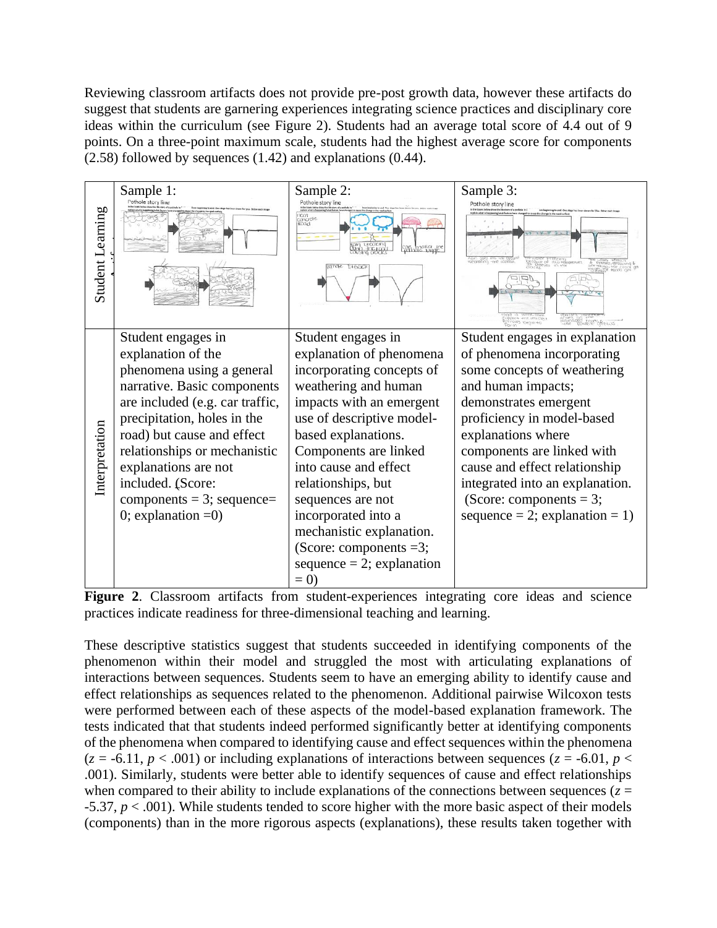Reviewing classroom artifacts does not provide pre-post growth data, however these artifacts do suggest that students are garnering experiences integrating science practices and disciplinary core ideas within the curriculum (see Figure 2). Students had an average total score of 4.4 out of 9 points. On a three-point maximum scale, students had the highest average score for components (2.58) followed by sequences (1.42) and explanations (0.44).

| Student Learning | Sample 1:<br>ole story line                                                                                                                                                                                                                                                                                                                | Sample 2:<br>Pothole story line<br>cnode<br>ROGO<br>bl6G                                                                                                                                                                                                                                                                                                                                                  | Sample 3:<br>Pothole story line<br>rged to cause the change in the road surfa<br>MOT INTEZIENS<br>198 DP IWW HEMIDERMURI<br>MEEZEN IN NINE<br><b>PELLIP FOODS</b>                                                                                                                                                                                             |
|------------------|--------------------------------------------------------------------------------------------------------------------------------------------------------------------------------------------------------------------------------------------------------------------------------------------------------------------------------------------|-----------------------------------------------------------------------------------------------------------------------------------------------------------------------------------------------------------------------------------------------------------------------------------------------------------------------------------------------------------------------------------------------------------|---------------------------------------------------------------------------------------------------------------------------------------------------------------------------------------------------------------------------------------------------------------------------------------------------------------------------------------------------------------|
| Interpretation   | Student engages in<br>explanation of the<br>phenomena using a general<br>narrative. Basic components<br>are included (e.g. car traffic,<br>precipitation, holes in the<br>road) but cause and effect<br>relationships or mechanistic<br>explanations are not<br>included. (Score:<br>$components = 3$ ; sequence=<br>0; explanation $=0$ ) | Student engages in<br>explanation of phenomena<br>incorporating concepts of<br>weathering and human<br>impacts with an emergent<br>use of descriptive model-<br>based explanations.<br>Components are linked<br>into cause and effect<br>relationships, but<br>sequences are not<br>incorporated into a<br>mechanistic explanation.<br>(Score: components $=3$ ;<br>$sequence = 2$ ; explanation<br>$= 0$ | Student engages in explanation<br>of phenomena incorporating<br>some concepts of weathering<br>and human impacts;<br>demonstrates emergent<br>proficiency in model-based<br>explanations where<br>components are linked with<br>cause and effect relationship<br>integrated into an explanation.<br>(Score: components = 3;<br>sequence = 2; explanation = 1) |

**Figure 2**. Classroom artifacts from student-experiences integrating core ideas and science practices indicate readiness for three-dimensional teaching and learning.

These descriptive statistics suggest that students succeeded in identifying components of the phenomenon within their model and struggled the most with articulating explanations of interactions between sequences. Students seem to have an emerging ability to identify cause and effect relationships as sequences related to the phenomenon. Additional pairwise Wilcoxon tests were performed between each of these aspects of the model-based explanation framework. The tests indicated that that students indeed performed significantly better at identifying components of the phenomena when compared to identifying cause and effect sequences within the phenomena  $(z = -6.11, p < .001)$  or including explanations of interactions between sequences  $(z = -6.01, p <$ .001). Similarly, students were better able to identify sequences of cause and effect relationships when compared to their ability to include explanations of the connections between sequences ( $z =$ -5.37, *p* < .001). While students tended to score higher with the more basic aspect of their models (components) than in the more rigorous aspects (explanations), these results taken together with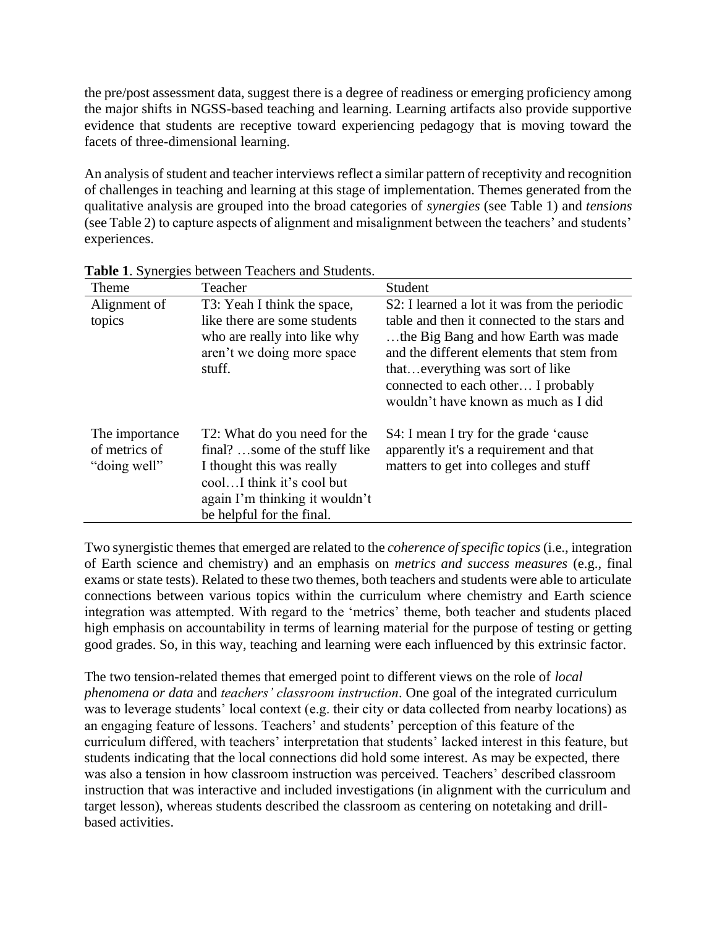the pre/post assessment data, suggest there is a degree of readiness or emerging proficiency among the major shifts in NGSS-based teaching and learning. Learning artifacts also provide supportive evidence that students are receptive toward experiencing pedagogy that is moving toward the facets of three-dimensional learning.

An analysis of student and teacher interviews reflect a similar pattern of receptivity and recognition of challenges in teaching and learning at this stage of implementation. Themes generated from the qualitative analysis are grouped into the broad categories of *synergies* (see Table 1) and *tensions* (see Table 2) to capture aspects of alignment and misalignment between the teachers' and students' experiences.

| Theme                                           | Teacher                                                                                                                                                                                | Student                                                                                                                                                                                                                                                                                            |
|-------------------------------------------------|----------------------------------------------------------------------------------------------------------------------------------------------------------------------------------------|----------------------------------------------------------------------------------------------------------------------------------------------------------------------------------------------------------------------------------------------------------------------------------------------------|
| Alignment of<br>topics                          | T3: Yeah I think the space,<br>like there are some students<br>who are really into like why<br>aren't we doing more space<br>stuff.                                                    | S2: I learned a lot it was from the periodic<br>table and then it connected to the stars and<br>the Big Bang and how Earth was made<br>and the different elements that stem from<br>that everything was sort of like<br>connected to each other I probably<br>wouldn't have known as much as I did |
| The importance<br>of metrics of<br>"doing well" | T2: What do you need for the<br>final? some of the stuff like<br>I thought this was really<br>coolI think it's cool but<br>again I'm thinking it wouldn't<br>be helpful for the final. | S4: I mean I try for the grade 'cause<br>apparently it's a requirement and that<br>matters to get into colleges and stuff                                                                                                                                                                          |

**Table 1**. Synergies between Teachers and Students.

Two synergistic themes that emerged are related to the *coherence of specific topics* (i.e., integration of Earth science and chemistry) and an emphasis on *metrics and success measures* (e.g., final exams or state tests). Related to these two themes, both teachers and students were able to articulate connections between various topics within the curriculum where chemistry and Earth science integration was attempted. With regard to the 'metrics' theme, both teacher and students placed high emphasis on accountability in terms of learning material for the purpose of testing or getting good grades. So, in this way, teaching and learning were each influenced by this extrinsic factor.

The two tension-related themes that emerged point to different views on the role of *local phenomena or data* and *teachers' classroom instruction*. One goal of the integrated curriculum was to leverage students' local context (e.g. their city or data collected from nearby locations) as an engaging feature of lessons. Teachers' and students' perception of this feature of the curriculum differed, with teachers' interpretation that students' lacked interest in this feature, but students indicating that the local connections did hold some interest. As may be expected, there was also a tension in how classroom instruction was perceived. Teachers' described classroom instruction that was interactive and included investigations (in alignment with the curriculum and target lesson), whereas students described the classroom as centering on notetaking and drillbased activities.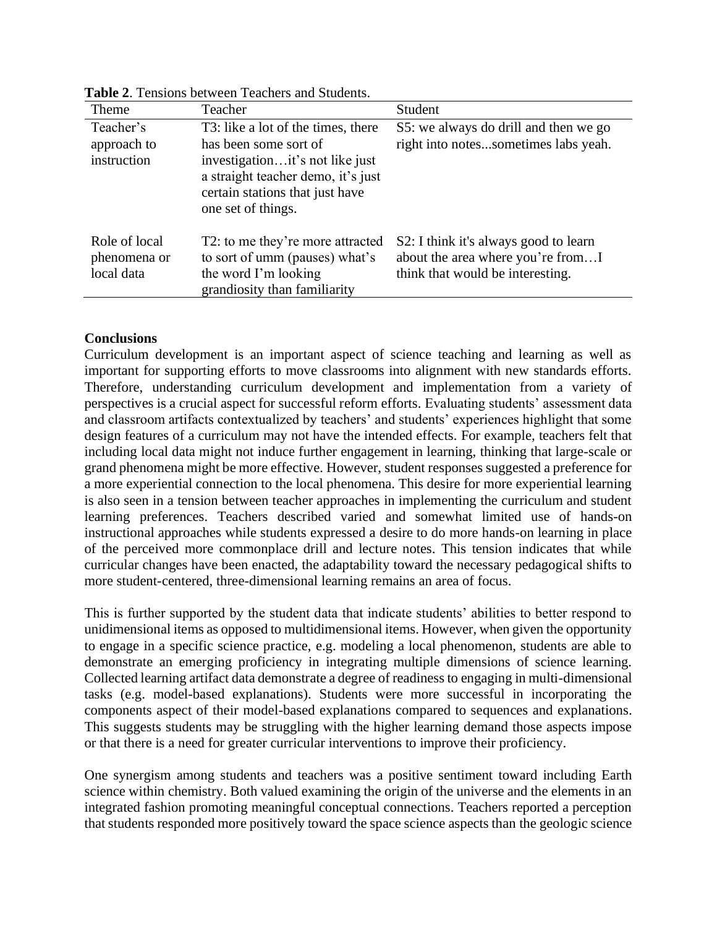| Theme                                       | Teacher                                                                                                                                                                                       | Student                                                                                                        |
|---------------------------------------------|-----------------------------------------------------------------------------------------------------------------------------------------------------------------------------------------------|----------------------------------------------------------------------------------------------------------------|
| Teacher's<br>approach to<br>instruction     | T3: like a lot of the times, there<br>has been some sort of<br>investigationit's not like just<br>a straight teacher demo, it's just<br>certain stations that just have<br>one set of things. | S5: we always do drill and then we go<br>right into notessometimes labs yeah.                                  |
| Role of local<br>phenomena or<br>local data | T2: to me they're more attracted<br>to sort of umm (pauses) what's<br>the word I'm looking<br>grandiosity than familiarity                                                                    | S2: I think it's always good to learn<br>about the area where you're fromI<br>think that would be interesting. |

**Table 2**. Tensions between Teachers and Students.

# **Conclusions**

Curriculum development is an important aspect of science teaching and learning as well as important for supporting efforts to move classrooms into alignment with new standards efforts. Therefore, understanding curriculum development and implementation from a variety of perspectives is a crucial aspect for successful reform efforts. Evaluating students' assessment data and classroom artifacts contextualized by teachers' and students' experiences highlight that some design features of a curriculum may not have the intended effects. For example*,* teachers felt that including local data might not induce further engagement in learning, thinking that large-scale or grand phenomena might be more effective*.* However, student responses suggested a preference for a more experiential connection to the local phenomena. This desire for more experiential learning is also seen in a tension between teacher approaches in implementing the curriculum and student learning preferences. Teachers described varied and somewhat limited use of hands-on instructional approaches while students expressed a desire to do more hands-on learning in place of the perceived more commonplace drill and lecture notes. This tension indicates that while curricular changes have been enacted, the adaptability toward the necessary pedagogical shifts to more student-centered, three-dimensional learning remains an area of focus.

This is further supported by the student data that indicate students' abilities to better respond to unidimensional items as opposed to multidimensional items. However, when given the opportunity to engage in a specific science practice, e.g. modeling a local phenomenon, students are able to demonstrate an emerging proficiency in integrating multiple dimensions of science learning. Collected learning artifact data demonstrate a degree of readiness to engaging in multi-dimensional tasks (e.g. model-based explanations). Students were more successful in incorporating the components aspect of their model-based explanations compared to sequences and explanations. This suggests students may be struggling with the higher learning demand those aspects impose or that there is a need for greater curricular interventions to improve their proficiency.

One synergism among students and teachers was a positive sentiment toward including Earth science within chemistry. Both valued examining the origin of the universe and the elements in an integrated fashion promoting meaningful conceptual connections. Teachers reported a perception that students responded more positively toward the space science aspects than the geologic science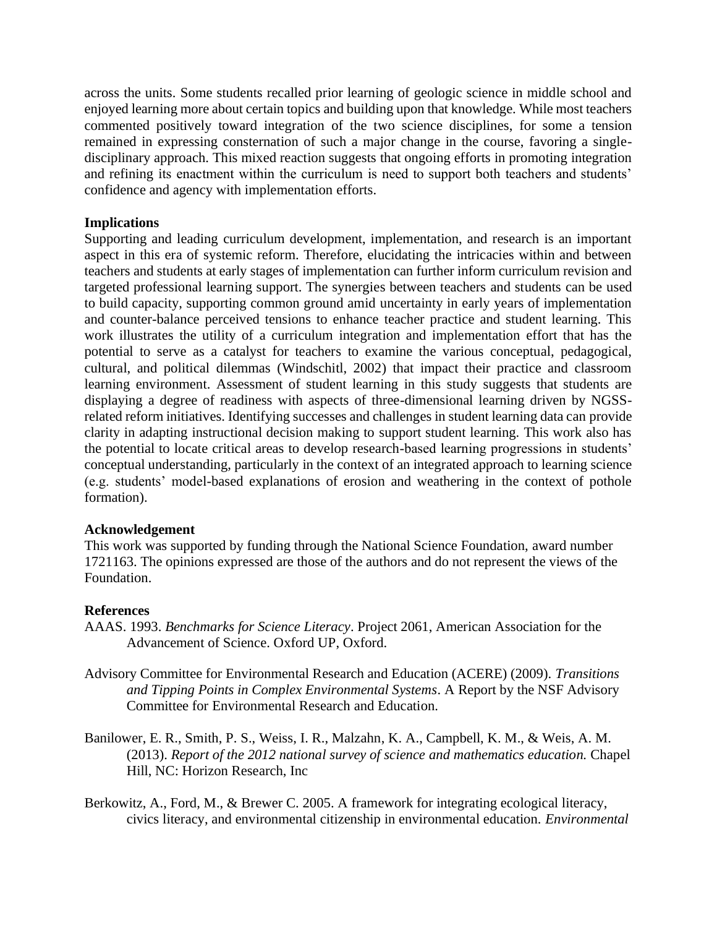across the units. Some students recalled prior learning of geologic science in middle school and enjoyed learning more about certain topics and building upon that knowledge. While most teachers commented positively toward integration of the two science disciplines, for some a tension remained in expressing consternation of such a major change in the course, favoring a singledisciplinary approach. This mixed reaction suggests that ongoing efforts in promoting integration and refining its enactment within the curriculum is need to support both teachers and students' confidence and agency with implementation efforts.

#### **Implications**

Supporting and leading curriculum development, implementation, and research is an important aspect in this era of systemic reform. Therefore, elucidating the intricacies within and between teachers and students at early stages of implementation can further inform curriculum revision and targeted professional learning support. The synergies between teachers and students can be used to build capacity, supporting common ground amid uncertainty in early years of implementation and counter-balance perceived tensions to enhance teacher practice and student learning. This work illustrates the utility of a curriculum integration and implementation effort that has the potential to serve as a catalyst for teachers to examine the various conceptual, pedagogical, cultural, and political dilemmas (Windschitl, 2002) that impact their practice and classroom learning environment. Assessment of student learning in this study suggests that students are displaying a degree of readiness with aspects of three-dimensional learning driven by NGSSrelated reform initiatives. Identifying successes and challenges in student learning data can provide clarity in adapting instructional decision making to support student learning. This work also has the potential to locate critical areas to develop research-based learning progressions in students' conceptual understanding, particularly in the context of an integrated approach to learning science (e.g. students' model-based explanations of erosion and weathering in the context of pothole formation).

### **Acknowledgement**

This work was supported by funding through the National Science Foundation, award number 1721163. The opinions expressed are those of the authors and do not represent the views of the Foundation.

#### **References**

- AAAS. 1993. *Benchmarks for Science Literacy*. Project 2061, American Association for the Advancement of Science. Oxford UP, Oxford.
- Advisory Committee for Environmental Research and Education (ACERE) (2009). *Transitions and Tipping Points in Complex Environmental Systems*. A Report by the NSF Advisory Committee for Environmental Research and Education.
- Banilower, E. R., Smith, P. S., Weiss, I. R., Malzahn, K. A., Campbell, K. M., & Weis, A. M. (2013). *Report of the 2012 national survey of science and mathematics education.* Chapel Hill, NC: Horizon Research, Inc
- Berkowitz, A., Ford, M., & Brewer C. 2005. A framework for integrating ecological literacy, civics literacy, and environmental citizenship in environmental education. *Environmental*